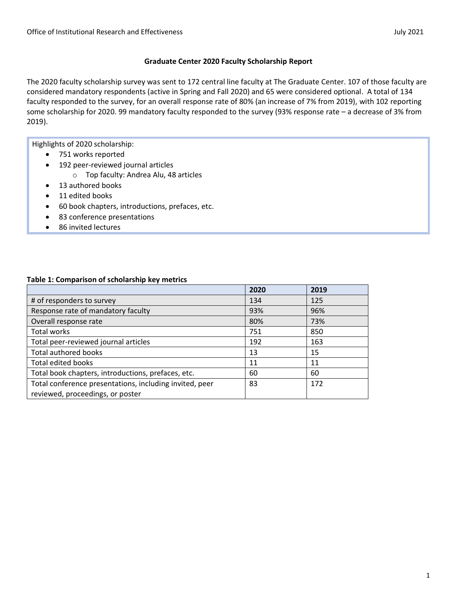### **Graduate Center 2020 Faculty Scholarship Report**

The 2020 faculty scholarship survey was sent to 172 central line faculty at The Graduate Center. 107 of those faculty are considered mandatory respondents (active in Spring and Fall 2020) and 65 were considered optional. A total of 134 faculty responded to the survey, for an overall response rate of 80% (an increase of 7% from 2019), with 102 reporting some scholarship for 2020. 99 mandatory faculty responded to the survey (93% response rate – a decrease of 3% from 2019).

Highlights of 2020 scholarship:

- 751 works reported
- 192 peer-reviewed journal articles
	- o Top faculty: Andrea Alu, 48 articles
- 13 authored books
- 11 edited books
- 60 book chapters, introductions, prefaces, etc.
- 83 conference presentations
- 86 invited lectures

#### **Table 1: Comparison of scholarship key metrics**

|                                                         | 2020 | 2019 |
|---------------------------------------------------------|------|------|
| # of responders to survey                               | 134  | 125  |
| Response rate of mandatory faculty                      | 93%  | 96%  |
| Overall response rate                                   | 80%  | 73%  |
| Total works                                             | 751  | 850  |
| Total peer-reviewed journal articles                    | 192  | 163  |
| <b>Total authored books</b>                             | 13   | 15   |
| <b>Total edited books</b>                               | 11   | 11   |
| Total book chapters, introductions, prefaces, etc.      | 60   | 60   |
| Total conference presentations, including invited, peer | 83   | 172  |
| reviewed, proceedings, or poster                        |      |      |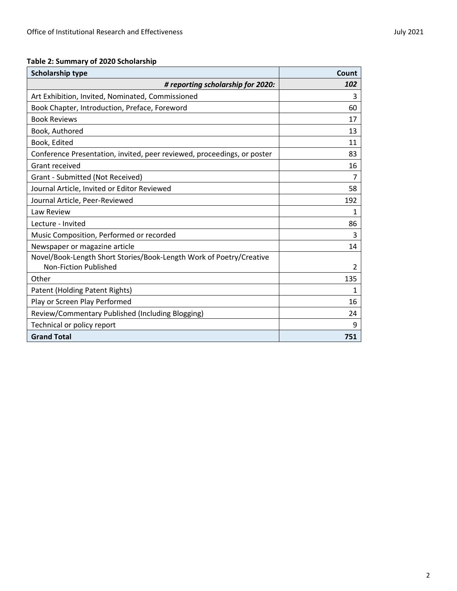## **Table 2: Summary of 2020 Scholarship**

| <b>Scholarship type</b>                                                                      | Count          |
|----------------------------------------------------------------------------------------------|----------------|
| # reporting scholarship for 2020:                                                            | 102            |
| Art Exhibition, Invited, Nominated, Commissioned                                             | 3              |
| Book Chapter, Introduction, Preface, Foreword                                                | 60             |
| <b>Book Reviews</b>                                                                          | 17             |
| Book, Authored                                                                               | 13             |
| Book, Edited                                                                                 | 11             |
| Conference Presentation, invited, peer reviewed, proceedings, or poster                      | 83             |
| Grant received                                                                               | 16             |
| Grant - Submitted (Not Received)                                                             | 7              |
| Journal Article, Invited or Editor Reviewed                                                  | 58             |
| Journal Article, Peer-Reviewed                                                               | 192            |
| Law Review                                                                                   | 1              |
| Lecture - Invited                                                                            | 86             |
| Music Composition, Performed or recorded                                                     | 3              |
| Newspaper or magazine article                                                                | 14             |
| Novel/Book-Length Short Stories/Book-Length Work of Poetry/Creative<br>Non-Fiction Published | $\overline{2}$ |
| Other                                                                                        | 135            |
| Patent (Holding Patent Rights)                                                               | 1              |
| Play or Screen Play Performed                                                                | 16             |
| Review/Commentary Published (Including Blogging)                                             | 24             |
| Technical or policy report                                                                   | 9              |
| <b>Grand Total</b>                                                                           | 751            |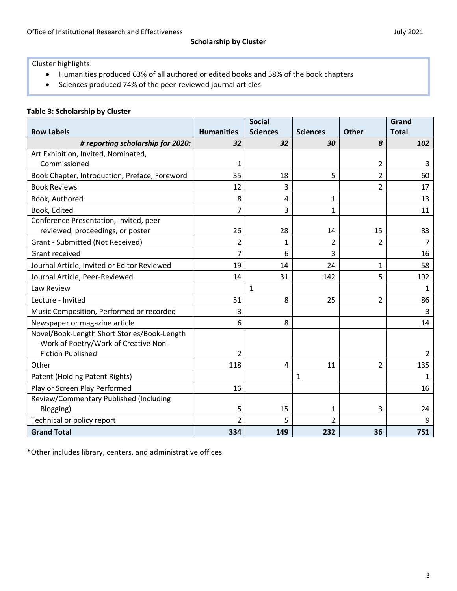Cluster highlights:

- Humanities produced 63% of all authored or edited books and 58% of the book chapters
- Sciences produced 74% of the peer-reviewed journal articles

|                                               |                   | <b>Social</b>   |                 |                | Grand        |
|-----------------------------------------------|-------------------|-----------------|-----------------|----------------|--------------|
| <b>Row Labels</b>                             | <b>Humanities</b> | <b>Sciences</b> | <b>Sciences</b> | <b>Other</b>   | <b>Total</b> |
| # reporting scholarship for 2020:             | 32                | 32              | 30              | 8              | 102          |
| Art Exhibition, Invited, Nominated,           |                   |                 |                 |                |              |
| Commissioned                                  | 1                 |                 |                 | 2              | 3            |
| Book Chapter, Introduction, Preface, Foreword | 35                | 18              | 5               | 2              | 60           |
| <b>Book Reviews</b>                           | 12                | 3               |                 | $\overline{2}$ | 17           |
| Book, Authored                                | 8                 | 4               | 1               |                | 13           |
| Book, Edited                                  | 7                 | 3               | 1               |                | 11           |
| Conference Presentation, Invited, peer        |                   |                 |                 |                |              |
| reviewed, proceedings, or poster              | 26                | 28              | 14              | 15             | 83           |
| Grant - Submitted (Not Received)              | $\overline{2}$    | 1               | $\overline{2}$  | 2              | 7            |
| Grant received                                | $\overline{7}$    | 6               | 3               |                | 16           |
| Journal Article, Invited or Editor Reviewed   | 19                | 14              | 24              | 1              | 58           |
| Journal Article, Peer-Reviewed                | 14                | 31              | 142             | 5              | 192          |
| Law Review                                    |                   | $\mathbf{1}$    |                 |                | $\mathbf{1}$ |
| Lecture - Invited                             | 51                | 8               | 25              | 2              | 86           |
| Music Composition, Performed or recorded      | 3                 |                 |                 |                | 3            |
| Newspaper or magazine article                 | 6                 | 8               |                 |                | 14           |
| Novel/Book-Length Short Stories/Book-Length   |                   |                 |                 |                |              |
| Work of Poetry/Work of Creative Non-          |                   |                 |                 |                |              |
| <b>Fiction Published</b>                      | 2                 |                 |                 |                | 2            |
| Other                                         | 118               | 4               | 11              | $\overline{2}$ | 135          |
| Patent (Holding Patent Rights)                |                   |                 | 1               |                | 1            |
| Play or Screen Play Performed                 | 16                |                 |                 |                | 16           |
| Review/Commentary Published (Including        |                   |                 |                 |                |              |
| Blogging)                                     | 5                 | 15              | 1               | 3              | 24           |
| Technical or policy report                    | $\mathfrak{p}$    | 5               | 2               |                | 9            |
| <b>Grand Total</b>                            | 334               | 149             | 232             | 36             | 751          |

\*Other includes library, centers, and administrative offices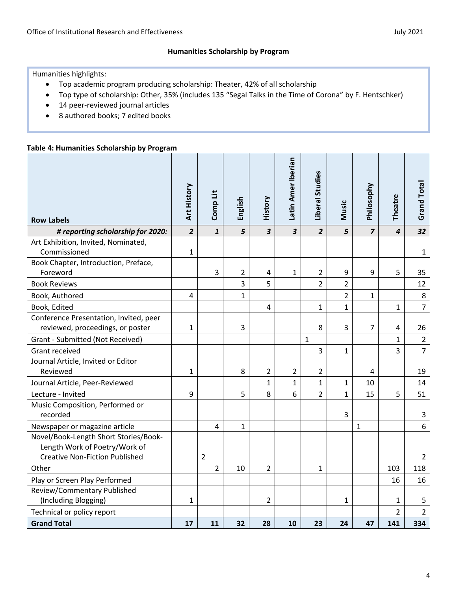Humanities highlights:

- Top academic program producing scholarship: Theater, 42% of all scholarship
- Top type of scholarship: Other, 35% (includes 135 "Segal Talks in the Time of Corona" by F. Hentschker)
- 14 peer-reviewed journal articles
- 8 authored books; 7 edited books

#### **Table 4: Humanities Scholarship by Program**

| <b>Row Labels</b>                                                                                               | Art History    | Comp Lit       | English        | History                 | Latin Amer Iberian      | Liberal Studies | Music          | Philosophy     | <b>Theatre</b> | <b>Grand Total</b> |
|-----------------------------------------------------------------------------------------------------------------|----------------|----------------|----------------|-------------------------|-------------------------|-----------------|----------------|----------------|----------------|--------------------|
| # reporting scholarship for 2020:                                                                               | $\overline{2}$ | $\mathbf{1}$   | 5              | $\overline{\mathbf{3}}$ | $\overline{\mathbf{3}}$ | $\overline{2}$  | 5              | $\overline{z}$ | $\overline{4}$ | 32                 |
| Art Exhibition, Invited, Nominated,<br>Commissioned                                                             | 1              |                |                |                         |                         |                 |                |                |                | 1                  |
| Book Chapter, Introduction, Preface,                                                                            |                |                |                |                         |                         |                 |                |                |                |                    |
| Foreword                                                                                                        |                | 3              | $\overline{2}$ | 4                       | $\mathbf{1}$            | $\overline{2}$  | 9              | 9              | 5              | 35                 |
| <b>Book Reviews</b>                                                                                             |                |                | 3              | 5                       |                         | $\overline{2}$  | $\overline{2}$ |                |                | 12                 |
| Book, Authored                                                                                                  | 4              |                | 1              |                         |                         |                 | $\overline{2}$ | 1              |                | $\,8\,$            |
| Book, Edited                                                                                                    |                |                |                | 4                       |                         | $\mathbf{1}$    | $\overline{1}$ |                | 1              | $\overline{7}$     |
| Conference Presentation, Invited, peer<br>reviewed, proceedings, or poster                                      | 1              |                | 3              |                         |                         | 8               | 3              | 7              | 4              | 26                 |
| Grant - Submitted (Not Received)                                                                                |                |                |                |                         |                         | $\mathbf{1}$    |                |                | $\mathbf 1$    | $\overline{2}$     |
| Grant received                                                                                                  |                |                |                |                         |                         | 3               | $\mathbf{1}$   |                | 3              | $\overline{7}$     |
| Journal Article, Invited or Editor                                                                              |                |                |                |                         |                         |                 |                |                |                |                    |
| Reviewed                                                                                                        | $\mathbf 1$    |                | 8              | $\overline{2}$          | $\overline{2}$          | $\overline{2}$  |                | 4              |                | 19                 |
| Journal Article, Peer-Reviewed                                                                                  |                |                |                | $\mathbf{1}$            | $\mathbf{1}$            | $\mathbf{1}$    | $\mathbf{1}$   | 10             |                | 14                 |
| Lecture - Invited                                                                                               | 9              |                | 5              | 8                       | 6                       | $\overline{2}$  | $\mathbf{1}$   | 15             | 5              | 51                 |
| Music Composition, Performed or<br>recorded                                                                     |                |                |                |                         |                         |                 | 3              |                |                | 3                  |
| Newspaper or magazine article                                                                                   |                | 4              | 1              |                         |                         |                 |                | $\mathbf{1}$   |                | 6                  |
| Novel/Book-Length Short Stories/Book-<br>Length Work of Poetry/Work of<br><b>Creative Non-Fiction Published</b> |                | $\overline{2}$ |                |                         |                         |                 |                |                |                | $\overline{2}$     |
| Other                                                                                                           |                | $\overline{2}$ | 10             | $\overline{2}$          |                         | $\mathbf{1}$    |                |                | 103            | 118                |
| Play or Screen Play Performed                                                                                   |                |                |                |                         |                         |                 |                |                | 16             | 16                 |
| Review/Commentary Published<br>(Including Blogging)                                                             | 1              |                |                | $\overline{2}$          |                         |                 | 1              |                | 1              | 5                  |
| Technical or policy report                                                                                      |                |                |                |                         |                         |                 |                |                | $\overline{2}$ | $\overline{2}$     |
| <b>Grand Total</b>                                                                                              | 17             | 11             | 32             | 28                      | 10                      | 23              | 24             | 47             | 141            | 334                |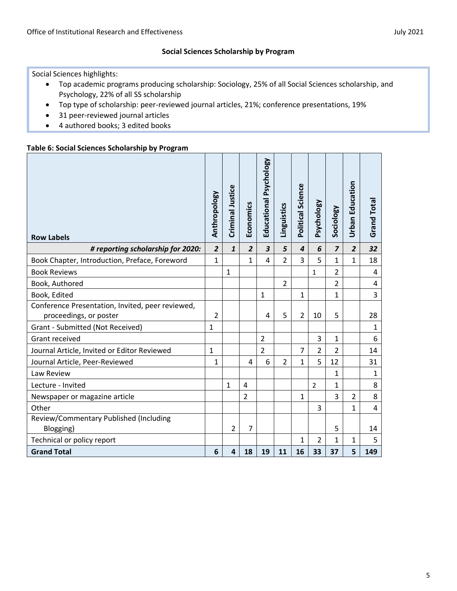#### **Social Sciences Scholarship by Program**

Social Sciences highlights:

- Top academic programs producing scholarship: Sociology, 25% of all Social Sciences scholarship, and Psychology, 22% of all SS scholarship
- Top type of scholarship: peer-reviewed journal articles, 21%; conference presentations, 19%
- 31 peer-reviewed journal articles
- 4 authored books; 3 edited books

#### **Table 6: Social Sciences Scholarship by Program**

| <b>Row Labels</b>                                                          | Anthropology   | Criminal Justice | Economics               | Educational Psychology  | Linguistics    | Political Science | Psychology     | Sociology               | <b>Urban Education</b> | <b>Grand Total</b> |
|----------------------------------------------------------------------------|----------------|------------------|-------------------------|-------------------------|----------------|-------------------|----------------|-------------------------|------------------------|--------------------|
| # reporting scholarship for 2020:                                          | $\overline{2}$ | $\mathbf{1}$     | $\overline{2}$          | $\overline{\mathbf{3}}$ | 5              | $\overline{4}$    | 6              | $\overline{\mathbf{z}}$ | $\overline{2}$         | 32                 |
| Book Chapter, Introduction, Preface, Foreword                              | $\mathbf{1}$   |                  | $\mathbf{1}$            | 4                       | $\overline{2}$ | 3                 | 5              | $\mathbf{1}$            | $\mathbf{1}$           | 18                 |
| <b>Book Reviews</b>                                                        |                | $\mathbf{1}$     |                         |                         |                |                   | $\mathbf{1}$   | $\overline{2}$          |                        | 4                  |
| Book, Authored                                                             |                |                  |                         |                         | $\overline{2}$ |                   |                | $\overline{2}$          |                        | $\overline{a}$     |
| Book, Edited                                                               |                |                  |                         | $\mathbf{1}$            |                | 1                 |                | $\mathbf{1}$            |                        | $\overline{3}$     |
| Conference Presentation, Invited, peer reviewed,<br>proceedings, or poster | 2              |                  |                         | 4                       | 5              | $\overline{2}$    | 10             | 5                       |                        | 28                 |
| Grant - Submitted (Not Received)                                           | $\mathbf{1}$   |                  |                         |                         |                |                   |                |                         |                        | $\mathbf{1}$       |
| Grant received                                                             |                |                  |                         | $\overline{2}$          |                |                   | 3              | $\mathbf{1}$            |                        | 6                  |
| Journal Article, Invited or Editor Reviewed                                | 1              |                  |                         | $\overline{2}$          |                | 7                 | 2              | $\overline{2}$          |                        | 14                 |
| Journal Article, Peer-Reviewed                                             | 1              |                  | 4                       | 6                       | $\overline{2}$ | $\mathbf{1}$      | 5              | 12                      |                        | 31                 |
| Law Review                                                                 |                |                  |                         |                         |                |                   |                | 1                       |                        | $\mathbf{1}$       |
| Lecture - Invited                                                          |                | $\mathbf{1}$     | $\overline{\mathbf{4}}$ |                         |                |                   | $\overline{2}$ | 1                       |                        | 8                  |
| Newspaper or magazine article                                              |                |                  | $\overline{2}$          |                         |                | 1                 |                | $\overline{3}$          | $\overline{2}$         | 8                  |
| Other                                                                      |                |                  |                         |                         |                |                   | $\overline{3}$ |                         | $\mathbf{1}$           | $\overline{4}$     |
| Review/Commentary Published (Including                                     |                |                  |                         |                         |                |                   |                |                         |                        |                    |
| Blogging)                                                                  |                | $\overline{2}$   | $\overline{7}$          |                         |                |                   |                | 5                       |                        | 14                 |
| Technical or policy report                                                 |                |                  |                         |                         |                | 1                 | 2              | 1                       | $\mathbf{1}$           | 5                  |
| <b>Grand Total</b>                                                         | 6              | 4                | 18                      | 19                      | 11             | 16                | 33             | 37                      | 5                      | 149                |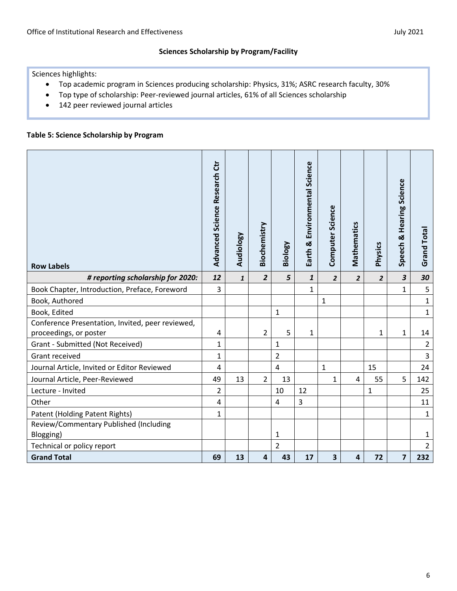Sciences highlights:

- Top academic program in Sciences producing scholarship: Physics, 31%; ASRC research faculty, 30%
- Top type of scholarship: Peer-reviewed journal articles, 61% of all Sciences scholarship
- 142 peer reviewed journal articles

#### **Table 5: Science Scholarship by Program**

| <b>Row Labels</b>                                | Advanced Science Research Ctr | Audiology    | Biochemistry   | Biology        | Earth & Environmental Science | Computer Science | Mathematics    | Physics        | <b>Hearing Science</b><br>œ<br>Speech | <b>Grand Total</b> |
|--------------------------------------------------|-------------------------------|--------------|----------------|----------------|-------------------------------|------------------|----------------|----------------|---------------------------------------|--------------------|
| # reporting scholarship for 2020:                | 12                            | $\mathbf{1}$ | $\overline{2}$ | 5              | $\mathbf{1}$                  | $\overline{2}$   | $\overline{2}$ | $\overline{2}$ | $\mathbf{3}$                          | 30                 |
| Book Chapter, Introduction, Preface, Foreword    | 3                             |              |                |                | $\mathbf{1}$                  |                  |                |                | 1                                     | 5                  |
| Book, Authored                                   |                               |              |                |                |                               | $\mathbf{1}$     |                |                |                                       | $\mathbf{1}$       |
| Book, Edited                                     |                               |              |                | $\mathbf{1}$   |                               |                  |                |                |                                       | $\mathbf{1}$       |
| Conference Presentation, Invited, peer reviewed, |                               |              |                |                |                               |                  |                |                |                                       |                    |
| proceedings, or poster                           | 4                             |              | 2              | 5              | $\mathbf{1}$                  |                  |                | 1              | 1                                     | 14                 |
| Grant - Submitted (Not Received)                 | $\mathbf{1}$                  |              |                | 1              |                               |                  |                |                |                                       | $\overline{2}$     |
| Grant received                                   | $\mathbf{1}$                  |              |                | $\overline{2}$ |                               |                  |                |                |                                       | $\overline{3}$     |
| Journal Article, Invited or Editor Reviewed      | 4                             |              |                | $\overline{4}$ |                               | $\mathbf{1}$     |                | 15             |                                       | 24                 |
| Journal Article, Peer-Reviewed                   | 49                            | 13           | $\overline{2}$ | 13             |                               | 1                | 4              | 55             | 5                                     | 142                |
| Lecture - Invited                                | $\overline{2}$                |              |                | 10             | 12                            |                  |                | 1              |                                       | 25                 |
| Other                                            | 4                             |              |                | $\pmb{4}$      | 3                             |                  |                |                |                                       | 11                 |
| Patent (Holding Patent Rights)                   | $\mathbf{1}$                  |              |                |                |                               |                  |                |                |                                       | $\mathbf{1}$       |
| Review/Commentary Published (Including           |                               |              |                |                |                               |                  |                |                |                                       |                    |
| Blogging)                                        |                               |              |                | $\mathbf{1}$   |                               |                  |                |                |                                       | $\mathbf{1}$       |
| Technical or policy report                       |                               |              |                | $\overline{2}$ |                               |                  |                |                |                                       | $\overline{2}$     |
| <b>Grand Total</b>                               | 69                            | 13           | 4              | 43             | 17                            | 3                | $\overline{4}$ | 72             | $\overline{\mathbf{z}}$               | 232                |